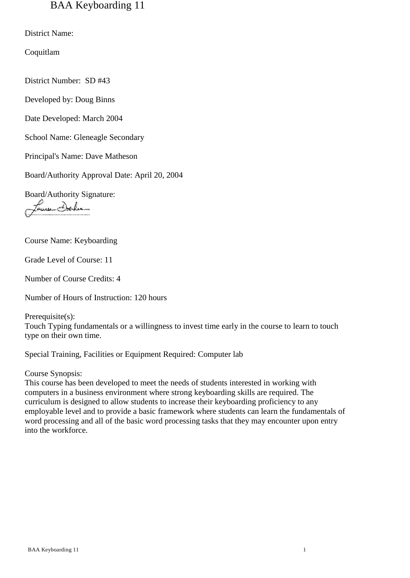# BAA Keyboarding 11

District Name:

Coquitlam

District Number: SD #43

Developed by: Doug Binns

Date Developed: March 2004

School Name: Gleneagle Secondary

Principal's Name: Dave Matheson

Board/Authority Approval Date: April 20, 2004

Board/Authority Signature:

Aun Delv

Course Name: Keyboarding

Grade Level of Course: 11

Number of Course Credits: 4

Number of Hours of Instruction: 120 hours

Prerequisite(s): Touch Typing fundamentals or a willingness to invest time early in the course to learn to touch type on their own time.

Special Training, Facilities or Equipment Required: Computer lab

Course Synopsis:

This course has been developed to meet the needs of students interested in working with computers in a business environment where strong keyboarding skills are required. The curriculum is designed to allow students to increase their keyboarding proficiency to any employable level and to provide a basic framework where students can learn the fundamentals of word processing and all of the basic word processing tasks that they may encounter upon entry into the workforce.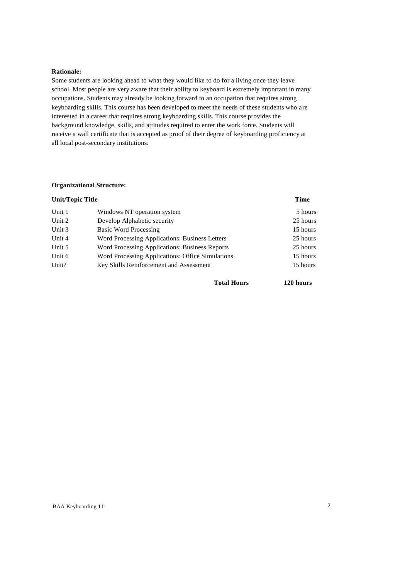# **Rationale:**

Some students are looking ahead to what they would like to do for a living once they leave school. Most people are very aware that their ability to keyboard is extremely important in many occupations. Students may already be looking forward to an occupation that requires strong keyboarding skills. This course has been developed to meet the needs of these students who are interested in a career that requires strong keyboarding skills. This course provides the background knowledge, skills, and attitudes required to enter the work force. Students will receive a wall certificate that is accepted as proof of their degree of keyboarding proficiency at all local post-secondary institutions.

# **Organizational Structure:**

| Unit/Topic Title |                                                  | <b>Time</b> |
|------------------|--------------------------------------------------|-------------|
| Unit 1           | Windows NT operation system                      | 5 hours     |
| Unit 2           | Develop Alphabetic security                      | 25 hours    |
| Unit 3           | Basic Word Processing                            | 15 hours    |
| Unit 4           | Word Processing Applications: Business Letters   | 25 hours    |
| Unit 5           | Word Processing Applications: Business Reports   | 25 hours    |
| Unit 6           | Word Processing Applications: Office Simulations | 15 hours    |
| Unit?            | Key Skills Reinforcement and Assessment          | 15 hours    |
|                  |                                                  |             |

**Total Hours 120 hours**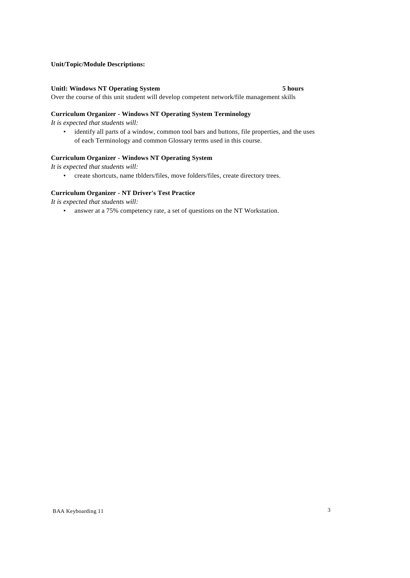# **Unit/Topic/Module Descriptions:**

### **Unitl: Windows NT Operating System 5 hours**

Over the course of this unit student will develop competent network/file management skills

# **Curriculum Organizer - Windows NT Operating System Terminology**

*It is expected that students will:*

• identify all parts of a window, common tool bars and buttons, file properties, and the uses of each Terminology and common Glossary terms used in this course.

# **Curriculum Organizer - Windows NT Operating System**

*It is expected that students will:*

• create shortcuts, name tblders/files, move folders/files, create directory trees.

#### **Curriculum Organizer - NT Driver's Test Practice**

*It is expected that students will:*

• answer at a 75% competency rate, a set of questions on the NT Workstation.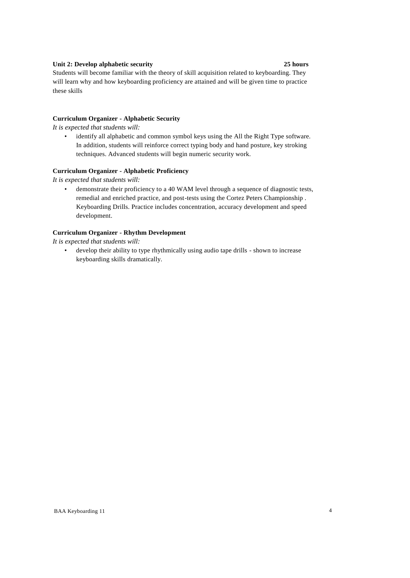# **Unit 2: Develop alphabetic security 25 hours**

Students will become familiar with the theory of skill acquisition related to keyboarding. They will learn why and how keyboarding proficiency are attained and will be given time to practice these skills

# **Curriculum Organizer - Alphabetic Security**

*It is expected that students will:*

• identify all alphabetic and common symbol keys using the All the Right Type software. In addition, students will reinforce correct typing body and hand posture, key stroking techniques. Advanced students will begin numeric security work.

#### **Curriculum Organizer - Alphabetic Proficiency**

*It is expected that students will:*

• demonstrate their proficiency to a 40 WAM level through a sequence of diagnostic tests, remedial and enriched practice, and post-tests using the Cortez Peters Championship . Keyboarding Drills. Practice includes concentration, accuracy development and speed development.

### **Curriculum Organizer - Rhythm Development**

*It is expected that students will:*

• develop their ability to type rhythmically using audio tape drills - shown to increase keyboarding skills dramatically.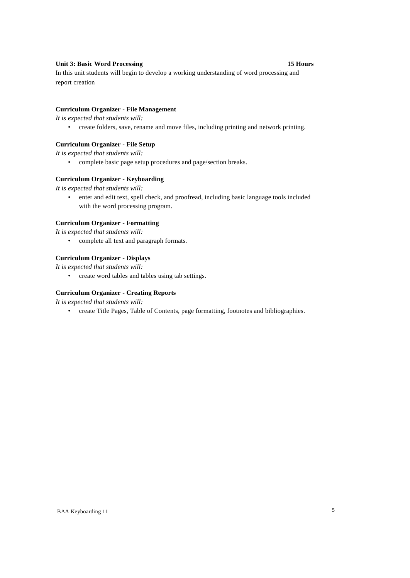# **Unit 3: Basic Word Processing 15 Hours**

In this unit students will begin to develop a working understanding of word processing and report creation

# **Curriculum Organizer - File Management**

*It is expected that students will:*

• create folders, save, rename and move files, including printing and network printing.

#### **Curriculum Organizer - File Setup**

*It is expected that students will:*

• complete basic page setup procedures and page/section breaks.

### **Curriculum Organizer - Keyboarding**

*It is expected that students will:*

• enter and edit text, spell check, and proofread, including basic language tools included with the word processing program.

# **Curriculum Organizer - Formatting**

*It is expected that students will:*

• complete all text and paragraph formats.

### **Curriculum Organizer - Displays**

*It is expected that students will:*

• create word tables and tables using tab settings.

#### **Curriculum Organizer - Creating Reports**

*It is expected that students will:*

• create Title Pages, Table of Contents, page formatting, footnotes and bibliographies.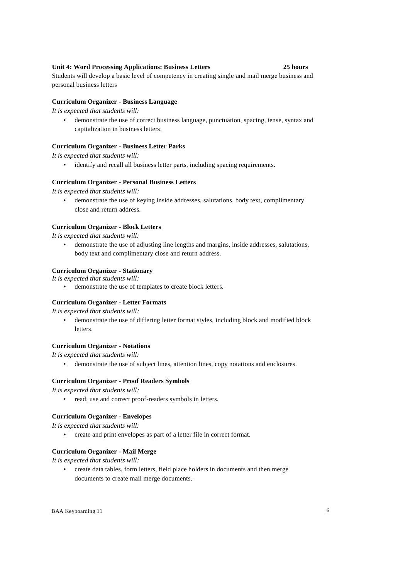# **Unit 4: Word Processing Applications: Business Letters 25 hours**

Students will develop a basic level of competency in creating single and mail merge business and personal business letters

### **Curriculum Organizer - Business Language**

*It is expected that students will:*

• demonstrate the use of correct business language, punctuation, spacing, tense, syntax and capitalization in business letters.

# **Curriculum Organizer - Business Letter Parks**

*It is expected that students will:*

• identify and recall all business letter parts, including spacing requirements.

#### **Curriculum Organizer - Personal Business Letters**

*It is expected that students will:*

• demonstrate the use of keying inside addresses, salutations, body text, complimentary close and return address.

### **Curriculum Organizer - Block Letters**

*It is expected that students will:*

• demonstrate the use of adjusting line lengths and margins, inside addresses, salutations, body text and complimentary close and return address.

#### **Curriculum Organizer - Stationary**

*It is expected that students will:*

• demonstrate the use of templates to create block letters.

#### **Curriculum Organizer - Letter Formats**

*It is expected that students will:*

• demonstrate the use of differing letter format styles, including block and modified block letters.

#### **Curriculum Organizer - Notations**

*It is expected that students will:*

• demonstrate the use of subject lines, attention lines, copy notations and enclosures.

#### **Curriculum Organizer - Proof Readers Symbols**

*It is expected that students will:*

read, use and correct proof-readers symbols in letters.

# **Curriculum Organizer - Envelopes**

*It is expected that students will:*

• create and print envelopes as part of a letter file in correct format.

#### **Curriculum Organizer - Mail Merge**

*It is expected that students will:*

• create data tables, form letters, field place holders in documents and then merge documents to create mail merge documents.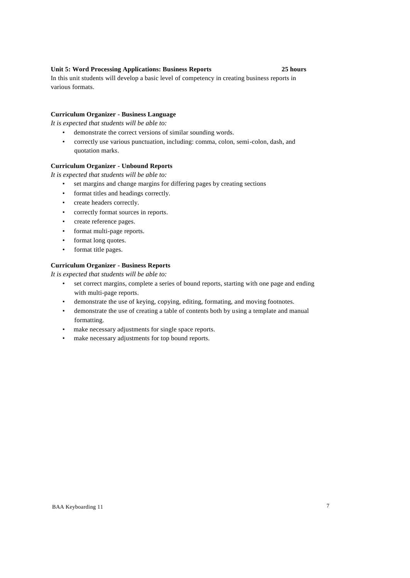### **Unit 5: Word Processing Applications: Business Reports 25 hours**

In this unit students will develop a basic level of competency in creating business reports in various formats.

# **Curriculum Organizer - Business Language**

*It is expected that students will be able to:*

- demonstrate the correct versions of similar sounding words.
- correctly use various punctuation, including: comma, colon, semi-colon, dash, and quotation marks.

### **Curriculum Organizer - Unbound Reports**

*It is expected that students will be able to:*

- set margins and change margins for differing pages by creating sections
- format titles and headings correctly.
- create headers correctly.
- correctly format sources in reports.
- create reference pages.
- format multi-page reports.
- format long quotes.
- format title pages.

#### **Curriculum Organizer - Business Reports**

*It is expected that students will be able to:*

- set correct margins, complete a series of bound reports, starting with one page and ending with multi-page reports.
- demonstrate the use of keying, copying, editing, formating, and moving footnotes.
- demonstrate the use of creating a table of contents both by using a template and manual formatting.
- make necessary adjustments for single space reports.
- make necessary adjustments for top bound reports.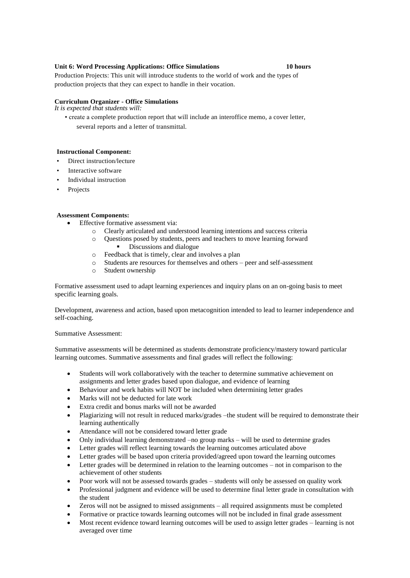# **Unit 6: Word Processing Applications: Office Simulations 10 hours**

Production Projects: This unit will introduce students to the world of work and the types of production projects that they can expect to handle in their vocation.

# **Curriculum Organizer - Office Simulations**

*It is expected that students will:*

• create a complete production report that will include an interoffice memo, a cover letter, several reports and a letter of transmittal.

### **Instructional Component:**

- Direct instruction/lecture
- Interactive software
- Individual instruction
- **Projects**

# **Assessment Components:**

- Effective formative assessment via:
	- o Clearly articulated and understood learning intentions and success criteria
	- o Questions posed by students, peers and teachers to move learning forward Discussions and dialogue
	- o Feedback that is timely, clear and involves a plan
	- o Students are resources for themselves and others peer and self-assessment
	- o Student ownership

Formative assessment used to adapt learning experiences and inquiry plans on an on-going basis to meet specific learning goals.

Development, awareness and action, based upon metacognition intended to lead to learner independence and self-coaching.

### Summative Assessment:

Summative assessments will be determined as students demonstrate proficiency/mastery toward particular learning outcomes. Summative assessments and final grades will reflect the following:

- Students will work collaboratively with the teacher to determine summative achievement on assignments and letter grades based upon dialogue, and evidence of learning
- Behaviour and work habits will NOT be included when determining letter grades
- Marks will not be deducted for late work
- Extra credit and bonus marks will not be awarded
- Plagiarizing will not result in reduced marks/grades –the student will be required to demonstrate their learning authentically
- Attendance will not be considered toward letter grade
- Only individual learning demonstrated –no group marks will be used to determine grades
- Letter grades will reflect learning towards the learning outcomes articulated above
- Letter grades will be based upon criteria provided/agreed upon toward the learning outcomes
- Letter grades will be determined in relation to the learning outcomes not in comparison to the achievement of other students
- Poor work will not be assessed towards grades students will only be assessed on quality work
- Professional judgment and evidence will be used to determine final letter grade in consultation with the student
- Zeros will not be assigned to missed assignments all required assignments must be completed
- Formative or practice towards learning outcomes will not be included in final grade assessment
- Most recent evidence toward learning outcomes will be used to assign letter grades learning is not averaged over time